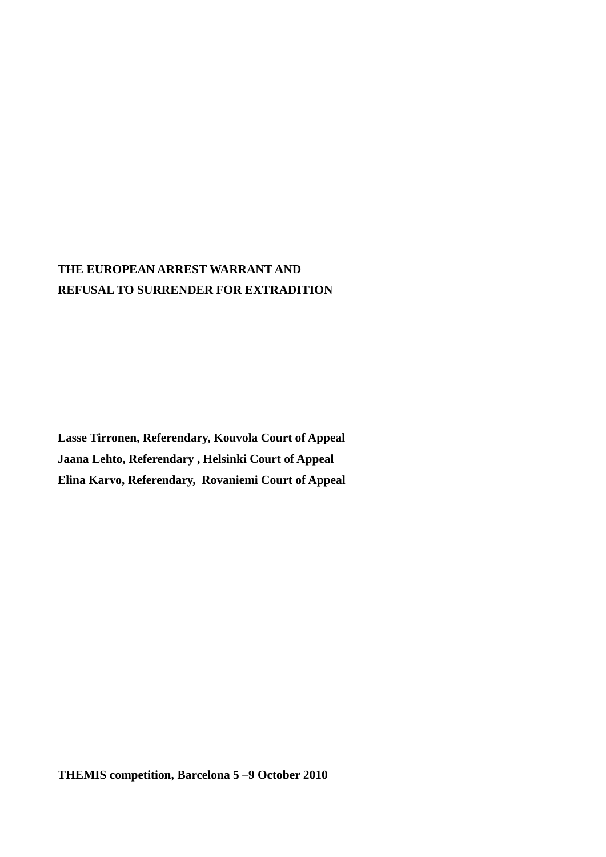# **THE EUROPEAN ARREST WARRANT AND REFUSAL TO SURRENDER FOR EXTRADITION**

**Lasse Tirronen, Referendary, Kouvola Court of Appeal Jaana Lehto, Referendary , Helsinki Court of Appeal Elina Karvo, Referendary, Rovaniemi Court of Appeal**

**THEMIS competition, Barcelona 5 –9 October 2010**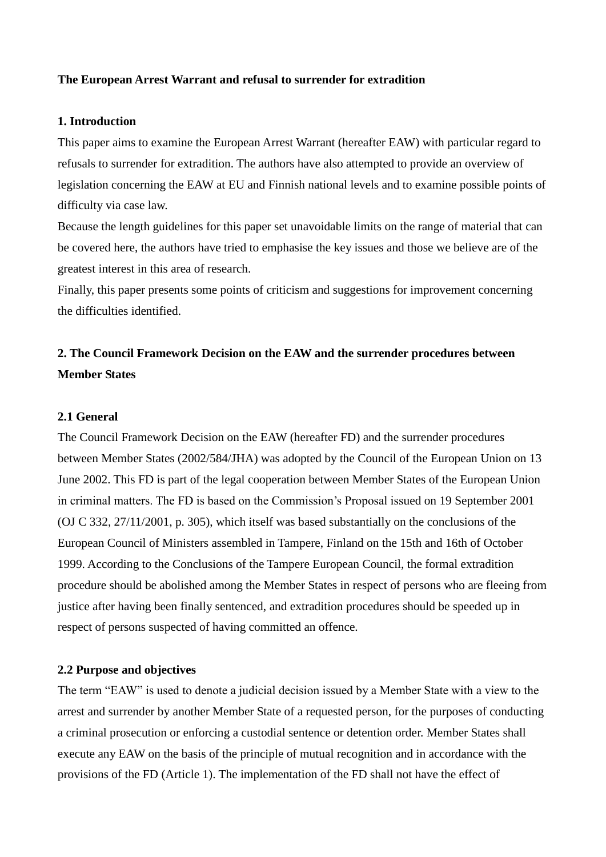#### **The European Arrest Warrant and refusal to surrender for extradition**

#### **1. Introduction**

This paper aims to examine the European Arrest Warrant (hereafter EAW) with particular regard to refusals to surrender for extradition. The authors have also attempted to provide an overview of legislation concerning the EAW at EU and Finnish national levels and to examine possible points of difficulty via case law.

Because the length guidelines for this paper set unavoidable limits on the range of material that can be covered here, the authors have tried to emphasise the key issues and those we believe are of the greatest interest in this area of research.

Finally, this paper presents some points of criticism and suggestions for improvement concerning the difficulties identified.

# **2. The Council Framework Decision on the EAW and the surrender procedures between Member States**

#### **2.1 General**

The Council Framework Decision on the EAW (hereafter FD) and the surrender procedures between Member States (2002/584/JHA) was adopted by the Council of the European Union on 13 June 2002. This FD is part of the legal cooperation between Member States of the European Union in criminal matters. The FD is based on the Commission"s Proposal issued on 19 September 2001 (OJ C 332, 27/11/2001, p. 305), which itself was based substantially on the conclusions of the European Council of Ministers assembled in Tampere, Finland on the 15th and 16th of October 1999. According to the Conclusions of the Tampere European Council, the formal extradition procedure should be abolished among the Member States in respect of persons who are fleeing from justice after having been finally sentenced, and extradition procedures should be speeded up in respect of persons suspected of having committed an offence.

#### **2.2 Purpose and objectives**

The term "EAW" is used to denote a judicial decision issued by a Member State with a view to the arrest and surrender by another Member State of a requested person, for the purposes of conducting a criminal prosecution or enforcing a custodial sentence or detention order. Member States shall execute any EAW on the basis of the principle of mutual recognition and in accordance with the provisions of the FD (Article 1). The implementation of the FD shall not have the effect of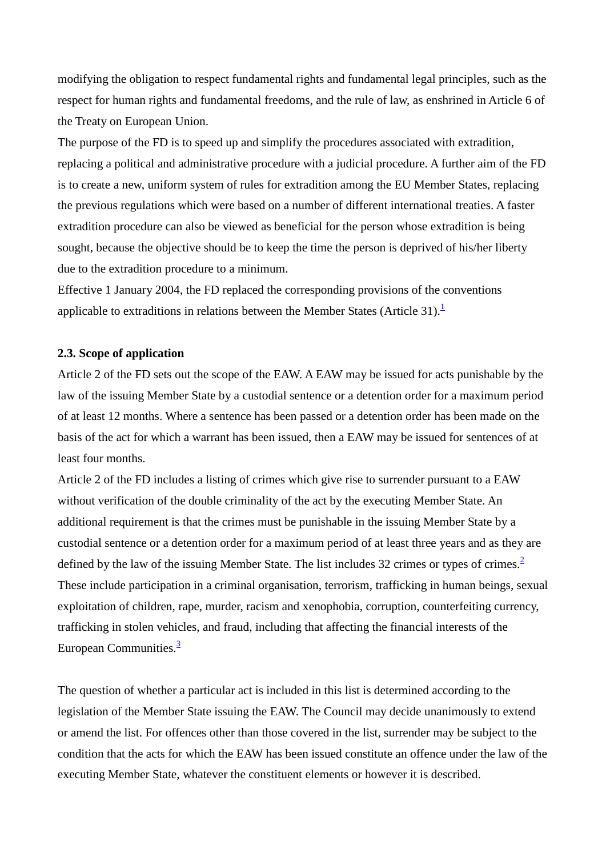modifying the obligation to respect fundamental rights and fundamental legal principles, such as the respect for human rights and fundamental freedoms, and the rule of law, as enshrined in Article 6 of the Treaty on European Union.

The purpose of the FD is to speed up and simplify the procedures associated with extradition, replacing a political and administrative procedure with a judicial procedure. A further aim of the FD is to create a new, uniform system of rules for extradition among the EU Member States, replacing the previous regulations which were based on a number of different international treaties. A faster extradition procedure can also be viewed as beneficial for the person whose extradition is being sought, because the objective should be to keep the time the person is deprived of his/her liberty due to the extradition procedure to a minimum.

Effective 1 January 2004, the FD replaced the corresponding provisions of the conventions applicable to extraditions in relations between the Member States (Article 31).<sup>1</sup>

#### **2.3. Scope of application**

Article 2 of the FD sets out the scope of the EAW. A EAW may be issued for acts punishable by the law of the issuing Member State by a custodial sentence or a detention order for a maximum period of at least 12 months. Where a sentence has been passed or a detention order has been made on the basis of the act for which a warrant has been issued, then a EAW may be issued for sentences of at least four months.

Article 2 of the FD includes a listing of crimes which give rise to surrender pursuant to a EAW without verification of the double criminality of the act by the executing Member State. An additional requirement is that the crimes must be punishable in the issuing Member State by a custodial sentence or a detention order for a maximum period of at least three years and as they are defined by the law of the issuing Member State. The list includes 32 crimes or types of crimes.<sup>2</sup> These include participation in a criminal organisation, terrorism, trafficking in human beings, sexual exploitation of children, rape, murder, racism and xenophobia, corruption, counterfeiting currency, trafficking in stolen vehicles, and fraud, including that affecting the financial interests of the European Communities. $\frac{3}{5}$ 

The question of whether a particular act is included in this list is determined according to the legislation of the Member State issuing the EAW. The Council may decide unanimously to extend or amend the list. For offences other than those covered in the list, surrender may be subject to the condition that the acts for which the EAW has been issued constitute an offence under the law of the executing Member State, whatever the constituent elements or however it is described.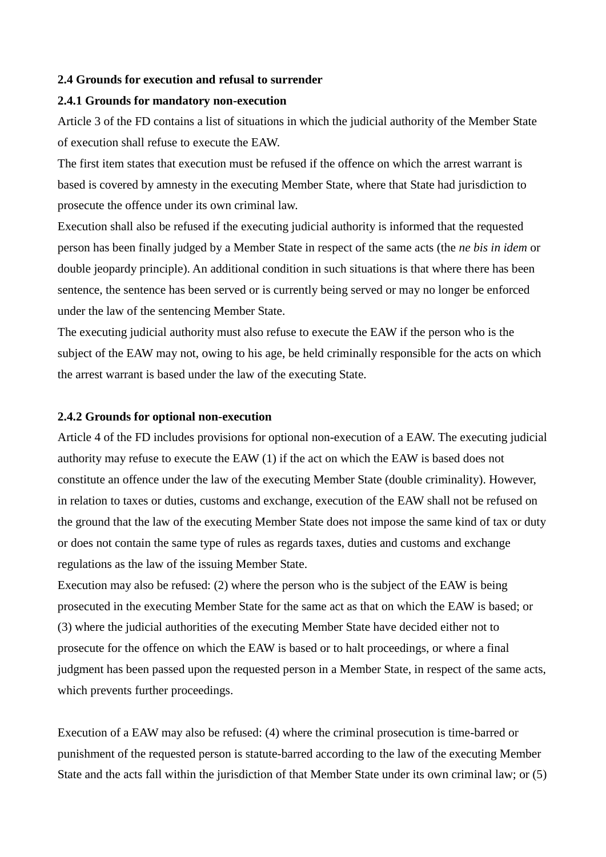#### **2.4 Grounds for execution and refusal to surrender**

#### **2.4.1 Grounds for mandatory non-execution**

Article 3 of the FD contains a list of situations in which the judicial authority of the Member State of execution shall refuse to execute the EAW.

The first item states that execution must be refused if the offence on which the arrest warrant is based is covered by amnesty in the executing Member State, where that State had jurisdiction to prosecute the offence under its own criminal law.

Execution shall also be refused if the executing judicial authority is informed that the requested person has been finally judged by a Member State in respect of the same acts (the *ne bis in idem* or double jeopardy principle). An additional condition in such situations is that where there has been sentence, the sentence has been served or is currently being served or may no longer be enforced under the law of the sentencing Member State.

The executing judicial authority must also refuse to execute the EAW if the person who is the subject of the EAW may not, owing to his age, be held criminally responsible for the acts on which the arrest warrant is based under the law of the executing State.

#### **2.4.2 Grounds for optional non-execution**

Article 4 of the FD includes provisions for optional non-execution of a EAW. The executing judicial authority may refuse to execute the EAW (1) if the act on which the EAW is based does not constitute an offence under the law of the executing Member State (double criminality). However, in relation to taxes or duties, customs and exchange, execution of the EAW shall not be refused on the ground that the law of the executing Member State does not impose the same kind of tax or duty or does not contain the same type of rules as regards taxes, duties and customs and exchange regulations as the law of the issuing Member State.

Execution may also be refused: (2) where the person who is the subject of the EAW is being prosecuted in the executing Member State for the same act as that on which the EAW is based; or (3) where the judicial authorities of the executing Member State have decided either not to prosecute for the offence on which the EAW is based or to halt proceedings, or where a final judgment has been passed upon the requested person in a Member State, in respect of the same acts, which prevents further proceedings.

Execution of a EAW may also be refused: (4) where the criminal prosecution is time-barred or punishment of the requested person is statute-barred according to the law of the executing Member State and the acts fall within the jurisdiction of that Member State under its own criminal law; or (5)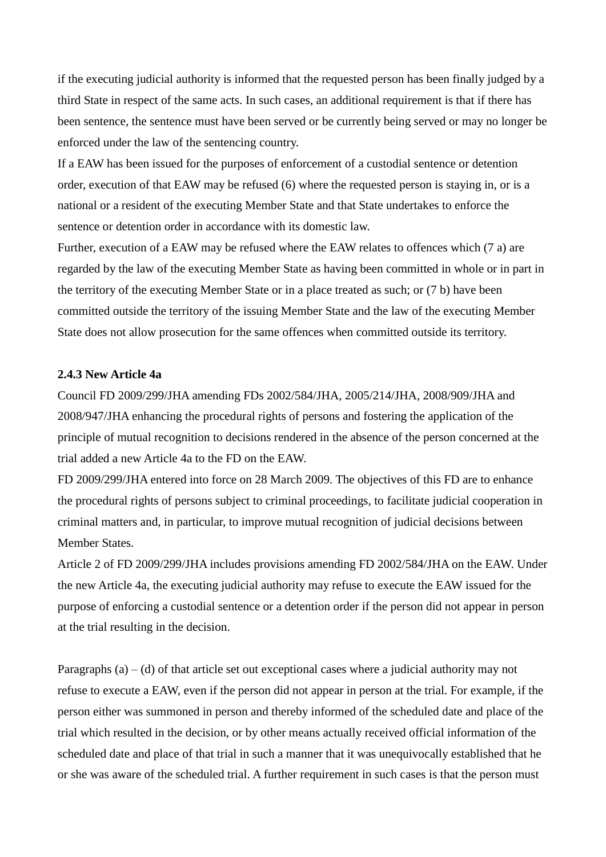if the executing judicial authority is informed that the requested person has been finally judged by a third State in respect of the same acts. In such cases, an additional requirement is that if there has been sentence, the sentence must have been served or be currently being served or may no longer be enforced under the law of the sentencing country.

If a EAW has been issued for the purposes of enforcement of a custodial sentence or detention order, execution of that EAW may be refused (6) where the requested person is staying in, or is a national or a resident of the executing Member State and that State undertakes to enforce the sentence or detention order in accordance with its domestic law.

Further, execution of a EAW may be refused where the EAW relates to offences which (7 a) are regarded by the law of the executing Member State as having been committed in whole or in part in the territory of the executing Member State or in a place treated as such; or (7 b) have been committed outside the territory of the issuing Member State and the law of the executing Member State does not allow prosecution for the same offences when committed outside its territory.

#### **2.4.3 New Article 4a**

Council FD 2009/299/JHA amending FDs 2002/584/JHA, 2005/214/JHA, 2008/909/JHA and 2008/947/JHA enhancing the procedural rights of persons and fostering the application of the principle of mutual recognition to decisions rendered in the absence of the person concerned at the trial added a new Article 4a to the FD on the EAW.

FD 2009/299/JHA entered into force on 28 March 2009. The objectives of this FD are to enhance the procedural rights of persons subject to criminal proceedings, to facilitate judicial cooperation in criminal matters and, in particular, to improve mutual recognition of judicial decisions between Member States.

Article 2 of FD 2009/299/JHA includes provisions amending FD 2002/584/JHA on the EAW. Under the new Article 4a, the executing judicial authority may refuse to execute the EAW issued for the purpose of enforcing a custodial sentence or a detention order if the person did not appear in person at the trial resulting in the decision.

Paragraphs  $(a) - (d)$  of that article set out exceptional cases where a judicial authority may not refuse to execute a EAW, even if the person did not appear in person at the trial. For example, if the person either was summoned in person and thereby informed of the scheduled date and place of the trial which resulted in the decision, or by other means actually received official information of the scheduled date and place of that trial in such a manner that it was unequivocally established that he or she was aware of the scheduled trial. A further requirement in such cases is that the person must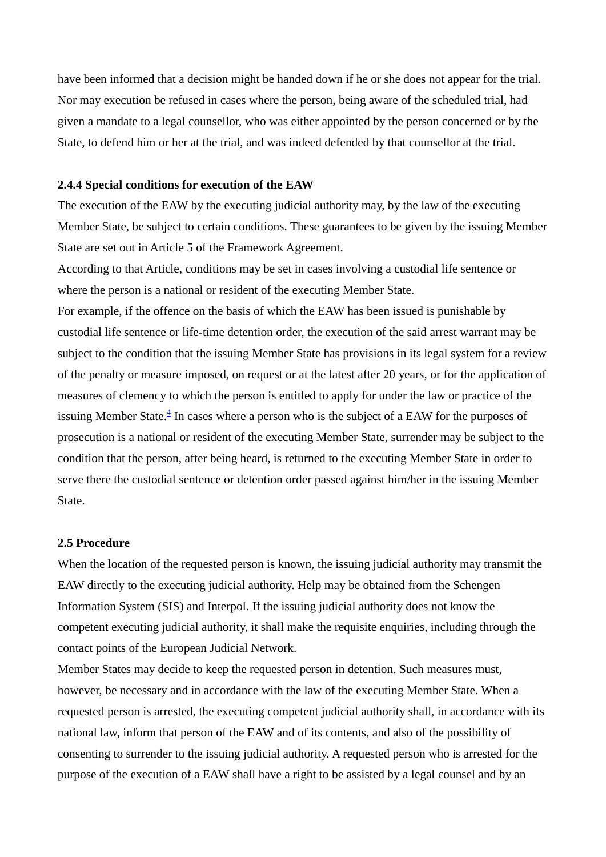have been informed that a decision might be handed down if he or she does not appear for the trial. Nor may execution be refused in cases where the person, being aware of the scheduled trial, had given a mandate to a legal counsellor, who was either appointed by the person concerned or by the State, to defend him or her at the trial, and was indeed defended by that counsellor at the trial.

#### **2.4.4 Special conditions for execution of the EAW**

The execution of the EAW by the executing judicial authority may, by the law of the executing Member State, be subject to certain conditions. These guarantees to be given by the issuing Member State are set out in Article 5 of the Framework Agreement.

According to that Article, conditions may be set in cases involving a custodial life sentence or where the person is a national or resident of the executing Member State.

For example, if the offence on the basis of which the EAW has been issued is punishable by custodial life sentence or life-time detention order, the execution of the said arrest warrant may be subject to the condition that the issuing Member State has provisions in its legal system for a review of the penalty or measure imposed, on request or at the latest after 20 years, or for the application of measures of clemency to which the person is entitled to apply for under the law or practice of the issuing Member State. $\frac{4}{3}$  In cases where a person who is the subject of a EAW for the purposes of prosecution is a national or resident of the executing Member State, surrender may be subject to the condition that the person, after being heard, is returned to the executing Member State in order to serve there the custodial sentence or detention order passed against him/her in the issuing Member State.

#### **2.5 Procedure**

When the location of the requested person is known, the issuing judicial authority may transmit the EAW directly to the executing judicial authority. Help may be obtained from the Schengen Information System (SIS) and Interpol. If the issuing judicial authority does not know the competent executing judicial authority, it shall make the requisite enquiries, including through the contact points of the European Judicial Network.

Member States may decide to keep the requested person in detention. Such measures must, however, be necessary and in accordance with the law of the executing Member State. When a requested person is arrested, the executing competent judicial authority shall, in accordance with its national law, inform that person of the EAW and of its contents, and also of the possibility of consenting to surrender to the issuing judicial authority. A requested person who is arrested for the purpose of the execution of a EAW shall have a right to be assisted by a legal counsel and by an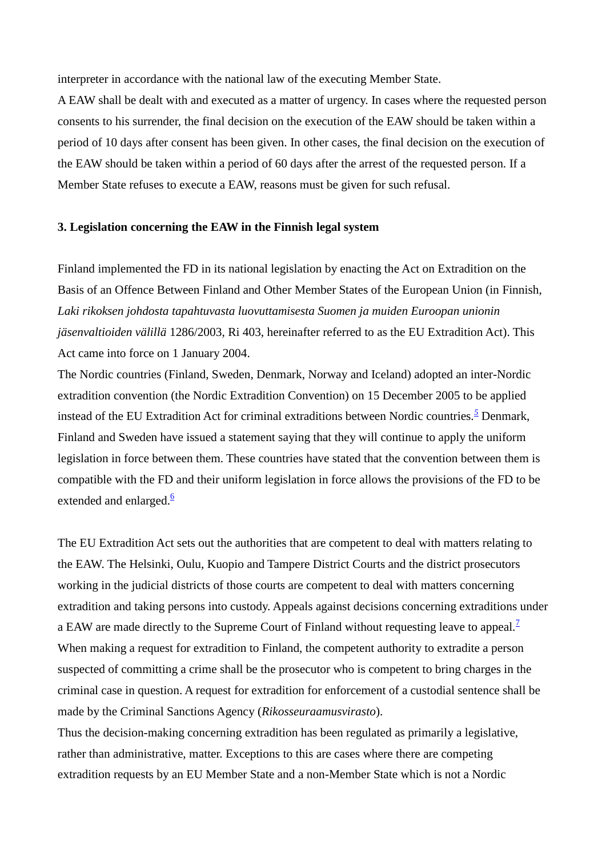interpreter in accordance with the national law of the executing Member State.

A EAW shall be dealt with and executed as a matter of urgency. In cases where the requested person consents to his surrender, the final decision on the execution of the EAW should be taken within a period of 10 days after consent has been given. In other cases, the final decision on the execution of the EAW should be taken within a period of 60 days after the arrest of the requested person. If a Member State refuses to execute a EAW, reasons must be given for such refusal.

#### **3. Legislation concerning the EAW in the Finnish legal system**

Finland implemented the FD in its national legislation by enacting the Act on Extradition on the Basis of an Offence Between Finland and Other Member States of the European Union (in Finnish, *Laki rikoksen johdosta tapahtuvasta luovuttamisesta Suomen ja muiden Euroopan unionin jäsenvaltioiden välillä* 1286/2003, Ri 403, hereinafter referred to as the EU Extradition Act). This Act came into force on 1 January 2004.

The Nordic countries (Finland, Sweden, Denmark, Norway and Iceland) adopted an inter-Nordic extradition convention (the Nordic Extradition Convention) on 15 December 2005 to be applied instead of the EU Extradition Act for criminal extraditions between Nordic countries*. <sup>5</sup>* Denmark, Finland and Sweden have issued a statement saying that they will continue to apply the uniform legislation in force between them. These countries have stated that the convention between them is compatible with the FD and their uniform legislation in force allows the provisions of the FD to be extended and enlarged. $\frac{6}{5}$ 

The EU Extradition Act sets out the authorities that are competent to deal with matters relating to the EAW. The Helsinki, Oulu, Kuopio and Tampere District Courts and the district prosecutors working in the judicial districts of those courts are competent to deal with matters concerning extradition and taking persons into custody. Appeals against decisions concerning extraditions under a EAW are made directly to the Supreme Court of Finland without requesting leave to appeal.<sup>7</sup> When making a request for extradition to Finland, the competent authority to extradite a person suspected of committing a crime shall be the prosecutor who is competent to bring charges in the criminal case in question. A request for extradition for enforcement of a custodial sentence shall be made by the Criminal Sanctions Agency (*Rikosseuraamusvirasto*).

Thus the decision-making concerning extradition has been regulated as primarily a legislative, rather than administrative, matter. Exceptions to this are cases where there are competing extradition requests by an EU Member State and a non-Member State which is not a Nordic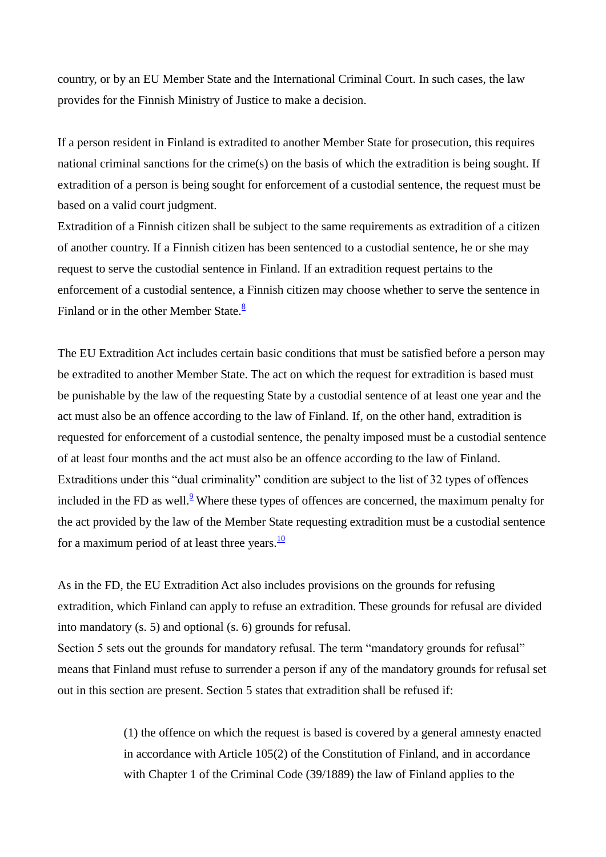country, or by an EU Member State and the International Criminal Court. In such cases, the law provides for the Finnish Ministry of Justice to make a decision.

If a person resident in Finland is extradited to another Member State for prosecution, this requires national criminal sanctions for the crime(s) on the basis of which the extradition is being sought. If extradition of a person is being sought for enforcement of a custodial sentence, the request must be based on a valid court judgment.

Extradition of a Finnish citizen shall be subject to the same requirements as extradition of a citizen of another country. If a Finnish citizen has been sentenced to a custodial sentence, he or she may request to serve the custodial sentence in Finland. If an extradition request pertains to the enforcement of a custodial sentence, a Finnish citizen may choose whether to serve the sentence in Finland or in the other Member State. $\frac{8}{3}$ 

The EU Extradition Act includes certain basic conditions that must be satisfied before a person may be extradited to another Member State. The act on which the request for extradition is based must be punishable by the law of the requesting State by a custodial sentence of at least one year and the act must also be an offence according to the law of Finland. If, on the other hand, extradition is requested for enforcement of a custodial sentence, the penalty imposed must be a custodial sentence of at least four months and the act must also be an offence according to the law of Finland. Extraditions under this "dual criminality" condition are subject to the list of 32 types of offences included in the FD as well. $9$ <sup>9</sup> Where these types of offences are concerned, the maximum penalty for the act provided by the law of the Member State requesting extradition must be a custodial sentence for a maximum period of at least three years. $\frac{10}{10}$ 

As in the FD, the EU Extradition Act also includes provisions on the grounds for refusing extradition, which Finland can apply to refuse an extradition. These grounds for refusal are divided into mandatory (s. 5) and optional (s. 6) grounds for refusal.

Section 5 sets out the grounds for mandatory refusal. The term "mandatory grounds for refusal" means that Finland must refuse to surrender a person if any of the mandatory grounds for refusal set out in this section are present. Section 5 states that extradition shall be refused if:

> (1) the offence on which the request is based is covered by a general amnesty enacted in accordance with Article 105(2) of the Constitution of Finland, and in accordance with Chapter 1 of the Criminal Code (39/1889) the law of Finland applies to the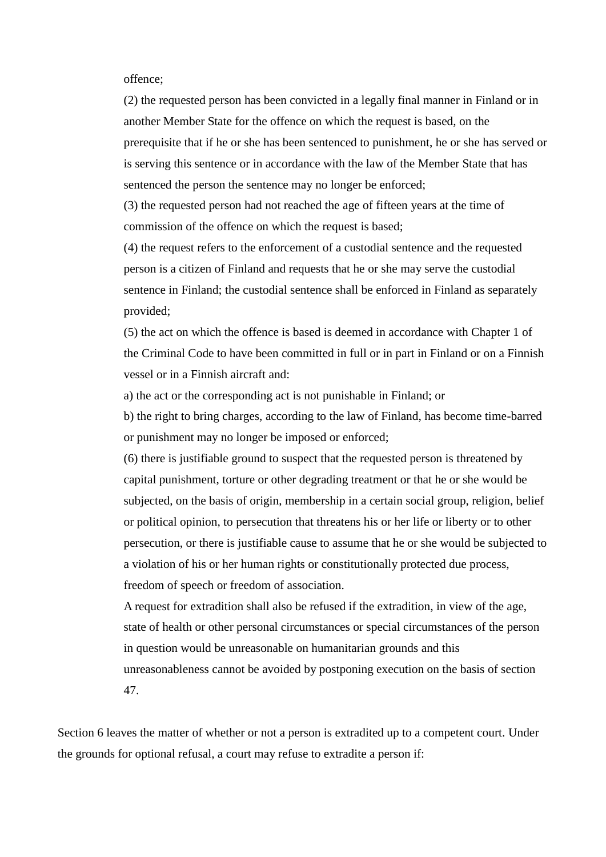offence;

(2) the requested person has been convicted in a legally final manner in Finland or in another Member State for the offence on which the request is based, on the prerequisite that if he or she has been sentenced to punishment, he or she has served or is serving this sentence or in accordance with the law of the Member State that has sentenced the person the sentence may no longer be enforced;

(3) the requested person had not reached the age of fifteen years at the time of commission of the offence on which the request is based;

(4) the request refers to the enforcement of a custodial sentence and the requested person is a citizen of Finland and requests that he or she may serve the custodial sentence in Finland; the custodial sentence shall be enforced in Finland as separately provided;

(5) the act on which the offence is based is deemed in accordance with Chapter 1 of the Criminal Code to have been committed in full or in part in Finland or on a Finnish vessel or in a Finnish aircraft and:

a) the act or the corresponding act is not punishable in Finland; or

b) the right to bring charges, according to the law of Finland, has become time-barred or punishment may no longer be imposed or enforced;

(6) there is justifiable ground to suspect that the requested person is threatened by capital punishment, torture or other degrading treatment or that he or she would be subjected, on the basis of origin, membership in a certain social group, religion, belief or political opinion, to persecution that threatens his or her life or liberty or to other persecution, or there is justifiable cause to assume that he or she would be subjected to a violation of his or her human rights or constitutionally protected due process, freedom of speech or freedom of association.

A request for extradition shall also be refused if the extradition, in view of the age, state of health or other personal circumstances or special circumstances of the person in question would be unreasonable on humanitarian grounds and this unreasonableness cannot be avoided by postponing execution on the basis of section 47.

Section 6 leaves the matter of whether or not a person is extradited up to a competent court. Under the grounds for optional refusal, a court may refuse to extradite a person if: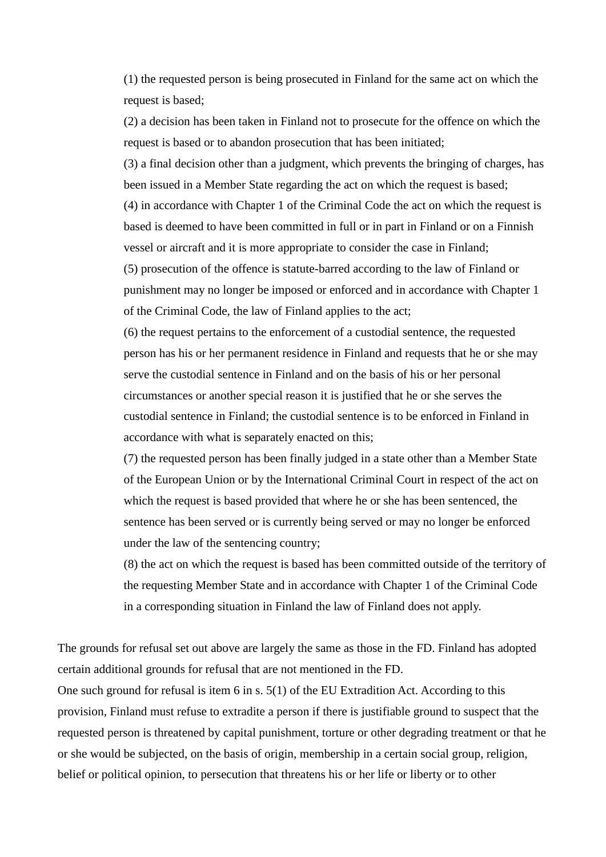(1) the requested person is being prosecuted in Finland for the same act on which the request is based;

(2) a decision has been taken in Finland not to prosecute for the offence on which the request is based or to abandon prosecution that has been initiated;

(3) a final decision other than a judgment, which prevents the bringing of charges, has been issued in a Member State regarding the act on which the request is based;

(4) in accordance with Chapter 1 of the Criminal Code the act on which the request is based is deemed to have been committed in full or in part in Finland or on a Finnish vessel or aircraft and it is more appropriate to consider the case in Finland;

(5) prosecution of the offence is statute-barred according to the law of Finland or punishment may no longer be imposed or enforced and in accordance with Chapter 1 of the Criminal Code, the law of Finland applies to the act;

(6) the request pertains to the enforcement of a custodial sentence, the requested person has his or her permanent residence in Finland and requests that he or she may serve the custodial sentence in Finland and on the basis of his or her personal circumstances or another special reason it is justified that he or she serves the custodial sentence in Finland; the custodial sentence is to be enforced in Finland in accordance with what is separately enacted on this;

(7) the requested person has been finally judged in a state other than a Member State of the European Union or by the International Criminal Court in respect of the act on which the request is based provided that where he or she has been sentenced, the sentence has been served or is currently being served or may no longer be enforced under the law of the sentencing country;

(8) the act on which the request is based has been committed outside of the territory of the requesting Member State and in accordance with Chapter 1 of the Criminal Code in a corresponding situation in Finland the law of Finland does not apply.

The grounds for refusal set out above are largely the same as those in the FD. Finland has adopted certain additional grounds for refusal that are not mentioned in the FD.

One such ground for refusal is item 6 in s. 5(1) of the EU Extradition Act. According to this provision, Finland must refuse to extradite a person if there is justifiable ground to suspect that the requested person is threatened by capital punishment, torture or other degrading treatment or that he or she would be subjected, on the basis of origin, membership in a certain social group, religion, belief or political opinion, to persecution that threatens his or her life or liberty or to other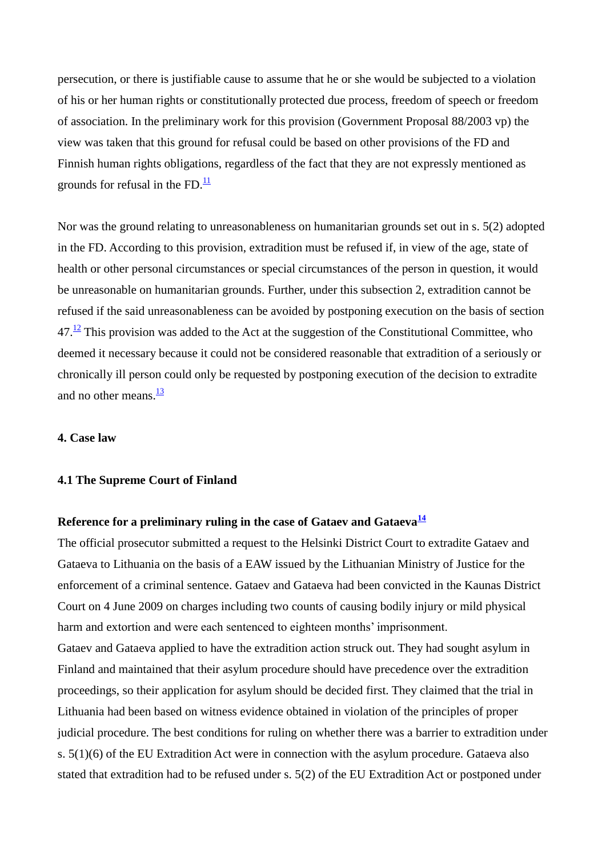persecution, or there is justifiable cause to assume that he or she would be subjected to a violation of his or her human rights or constitutionally protected due process, freedom of speech or freedom of association. In the preliminary work for this provision (Government Proposal 88/2003 vp) the view was taken that this ground for refusal could be based on other provisions of the FD and Finnish human rights obligations, regardless of the fact that they are not expressly mentioned as grounds for refusal in the FD. $\frac{11}{1}$ 

Nor was the ground relating to unreasonableness on humanitarian grounds set out in s. 5(2) adopted in the FD. According to this provision, extradition must be refused if, in view of the age, state of health or other personal circumstances or special circumstances of the person in question, it would be unreasonable on humanitarian grounds. Further, under this subsection 2, extradition cannot be refused if the said unreasonableness can be avoided by postponing execution on the basis of section  $47.\frac{12}{12}$  This provision was added to the Act at the suggestion of the Constitutional Committee, who deemed it necessary because it could not be considered reasonable that extradition of a seriously or chronically ill person could only be requested by postponing execution of the decision to extradite and no other means. $\frac{13}{2}$ 

#### **4. Case law**

#### **4.1 The Supreme Court of Finland**

## **Reference for a preliminary ruling in the case of Gataev and Gataeva<sup>14</sup>**

The official prosecutor submitted a request to the Helsinki District Court to extradite Gataev and Gataeva to Lithuania on the basis of a EAW issued by the Lithuanian Ministry of Justice for the enforcement of a criminal sentence. Gataev and Gataeva had been convicted in the Kaunas District Court on 4 June 2009 on charges including two counts of causing bodily injury or mild physical harm and extortion and were each sentenced to eighteen months' imprisonment.

Gataev and Gataeva applied to have the extradition action struck out. They had sought asylum in Finland and maintained that their asylum procedure should have precedence over the extradition proceedings, so their application for asylum should be decided first. They claimed that the trial in Lithuania had been based on witness evidence obtained in violation of the principles of proper judicial procedure. The best conditions for ruling on whether there was a barrier to extradition under s. 5(1)(6) of the EU Extradition Act were in connection with the asylum procedure. Gataeva also stated that extradition had to be refused under s. 5(2) of the EU Extradition Act or postponed under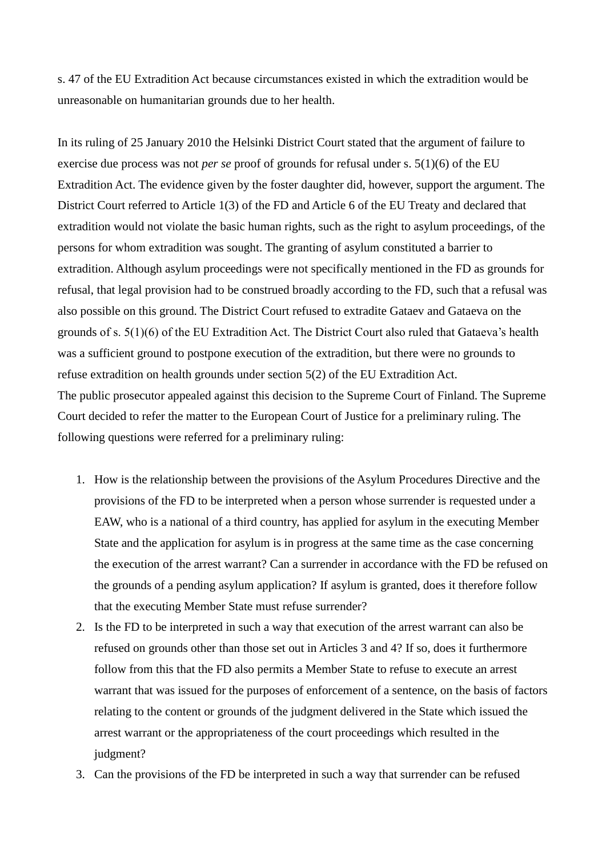s. 47 of the EU Extradition Act because circumstances existed in which the extradition would be unreasonable on humanitarian grounds due to her health.

In its ruling of 25 January 2010 the Helsinki District Court stated that the argument of failure to exercise due process was not *per se* proof of grounds for refusal under s. 5(1)(6) of the EU Extradition Act. The evidence given by the foster daughter did, however, support the argument. The District Court referred to Article 1(3) of the FD and Article 6 of the EU Treaty and declared that extradition would not violate the basic human rights, such as the right to asylum proceedings, of the persons for whom extradition was sought. The granting of asylum constituted a barrier to extradition. Although asylum proceedings were not specifically mentioned in the FD as grounds for refusal, that legal provision had to be construed broadly according to the FD, such that a refusal was also possible on this ground. The District Court refused to extradite Gataev and Gataeva on the grounds of s. 5(1)(6) of the EU Extradition Act. The District Court also ruled that Gataeva"s health was a sufficient ground to postpone execution of the extradition, but there were no grounds to refuse extradition on health grounds under section 5(2) of the EU Extradition Act. The public prosecutor appealed against this decision to the Supreme Court of Finland. The Supreme Court decided to refer the matter to the European Court of Justice for a preliminary ruling. The following questions were referred for a preliminary ruling:

- 1. How is the relationship between the provisions of the Asylum Procedures Directive and the provisions of the FD to be interpreted when a person whose surrender is requested under a EAW, who is a national of a third country, has applied for asylum in the executing Member State and the application for asylum is in progress at the same time as the case concerning the execution of the arrest warrant? Can a surrender in accordance with the FD be refused on the grounds of a pending asylum application? If asylum is granted, does it therefore follow that the executing Member State must refuse surrender?
- 2. Is the FD to be interpreted in such a way that execution of the arrest warrant can also be refused on grounds other than those set out in Articles 3 and 4? If so, does it furthermore follow from this that the FD also permits a Member State to refuse to execute an arrest warrant that was issued for the purposes of enforcement of a sentence, on the basis of factors relating to the content or grounds of the judgment delivered in the State which issued the arrest warrant or the appropriateness of the court proceedings which resulted in the judgment?
- 3. Can the provisions of the FD be interpreted in such a way that surrender can be refused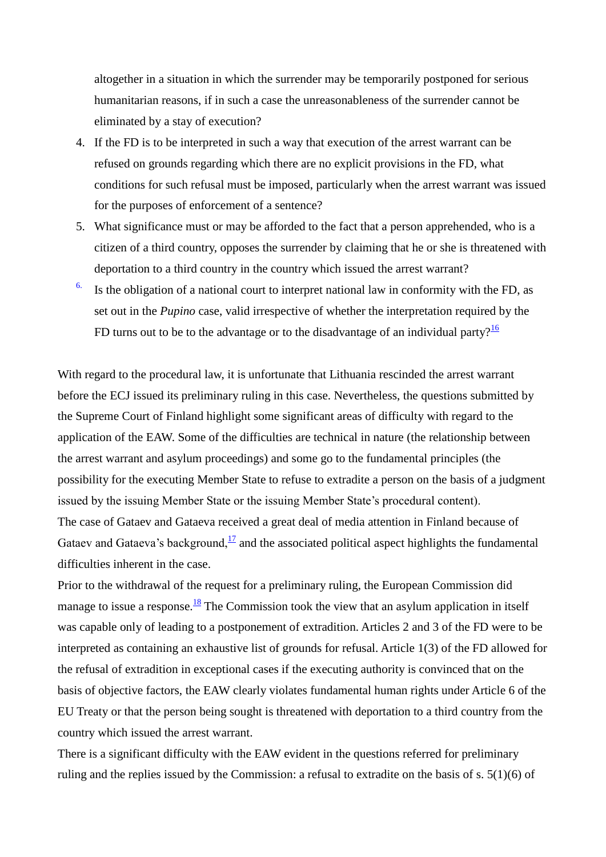altogether in a situation in which the surrender may be temporarily postponed for serious humanitarian reasons, if in such a case the unreasonableness of the surrender cannot be eliminated by a stay of execution?

- 4. If the FD is to be interpreted in such a way that execution of the arrest warrant can be refused on grounds regarding which there are no explicit provisions in the FD, what conditions for such refusal must be imposed, particularly when the arrest warrant was issued for the purposes of enforcement of a sentence?
- 5. What significance must or may be afforded to the fact that a person apprehended, who is a citizen of a third country, opposes the surrender by claiming that he or she is threatened with deportation to a third country in the country which issued the arrest warrant?
- $6.$  Is the obligation of a national court to interpret national law in conformity with the FD, as set out in the *Pupino* case, valid irrespective of whether the interpretation required by the FD turns out to be to the advantage or to the disadvantage of an individual party? $\frac{16}{16}$

With regard to the procedural law, it is unfortunate that Lithuania rescinded the arrest warrant before the ECJ issued its preliminary ruling in this case. Nevertheless, the questions submitted by the Supreme Court of Finland highlight some significant areas of difficulty with regard to the application of the EAW. Some of the difficulties are technical in nature (the relationship between the arrest warrant and asylum proceedings) and some go to the fundamental principles (the possibility for the executing Member State to refuse to extradite a person on the basis of a judgment issued by the issuing Member State or the issuing Member State"s procedural content). The case of Gataev and Gataeva received a great deal of media attention in Finland because of Gataev and Gataeva's background, $\frac{17}{17}$  and the associated political aspect highlights the fundamental

difficulties inherent in the case.

Prior to the withdrawal of the request for a preliminary ruling, the European Commission did manage to issue a response. $\frac{18}{18}$  The Commission took the view that an asylum application in itself was capable only of leading to a postponement of extradition. Articles 2 and 3 of the FD were to be interpreted as containing an exhaustive list of grounds for refusal. Article 1(3) of the FD allowed for the refusal of extradition in exceptional cases if the executing authority is convinced that on the basis of objective factors, the EAW clearly violates fundamental human rights under Article 6 of the EU Treaty or that the person being sought is threatened with deportation to a third country from the country which issued the arrest warrant.

There is a significant difficulty with the EAW evident in the questions referred for preliminary ruling and the replies issued by the Commission: a refusal to extradite on the basis of s. 5(1)(6) of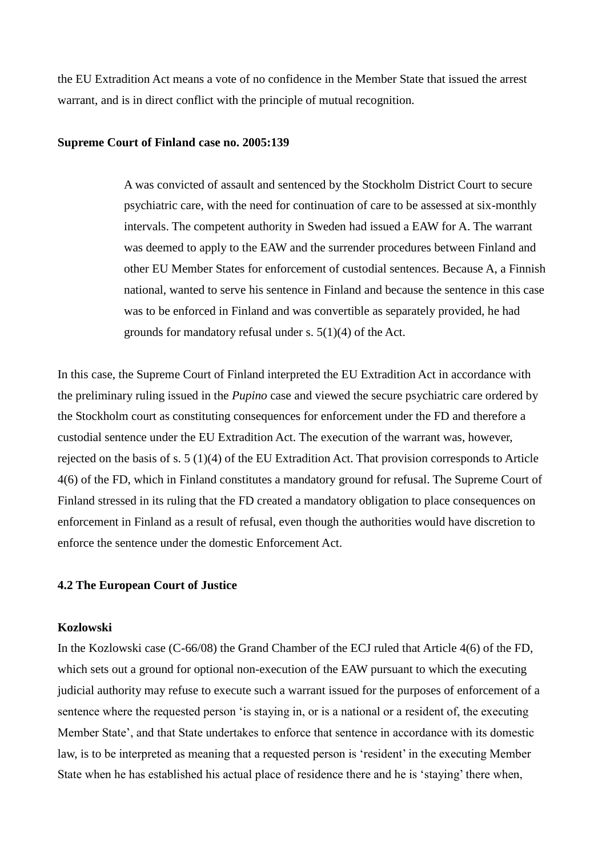the EU Extradition Act means a vote of no confidence in the Member State that issued the arrest warrant, and is in direct conflict with the principle of mutual recognition.

#### **Supreme Court of Finland case no. 2005:139**

A was convicted of assault and sentenced by the Stockholm District Court to secure psychiatric care, with the need for continuation of care to be assessed at six-monthly intervals. The competent authority in Sweden had issued a EAW for A. The warrant was deemed to apply to the EAW and the surrender procedures between Finland and other EU Member States for enforcement of custodial sentences. Because A, a Finnish national, wanted to serve his sentence in Finland and because the sentence in this case was to be enforced in Finland and was convertible as separately provided, he had grounds for mandatory refusal under s. 5(1)(4) of the Act.

In this case, the Supreme Court of Finland interpreted the EU Extradition Act in accordance with the preliminary ruling issued in the *Pupino* case and viewed the secure psychiatric care ordered by the Stockholm court as constituting consequences for enforcement under the FD and therefore a custodial sentence under the EU Extradition Act. The execution of the warrant was, however, rejected on the basis of s. 5 (1)(4) of the EU Extradition Act. That provision corresponds to Article 4(6) of the FD, which in Finland constitutes a mandatory ground for refusal. The Supreme Court of Finland stressed in its ruling that the FD created a mandatory obligation to place consequences on enforcement in Finland as a result of refusal, even though the authorities would have discretion to enforce the sentence under the domestic Enforcement Act.

#### **4.2 The European Court of Justice**

#### **Kozlowski**

In the Kozlowski case (C-66/08) the Grand Chamber of the ECJ ruled that Article 4(6) of the FD, which sets out a ground for optional non-execution of the EAW pursuant to which the executing judicial authority may refuse to execute such a warrant issued for the purposes of enforcement of a sentence where the requested person "is staying in, or is a national or a resident of, the executing Member State', and that State undertakes to enforce that sentence in accordance with its domestic law, is to be interpreted as meaning that a requested person is 'resident' in the executing Member State when he has established his actual place of residence there and he is "staying" there when,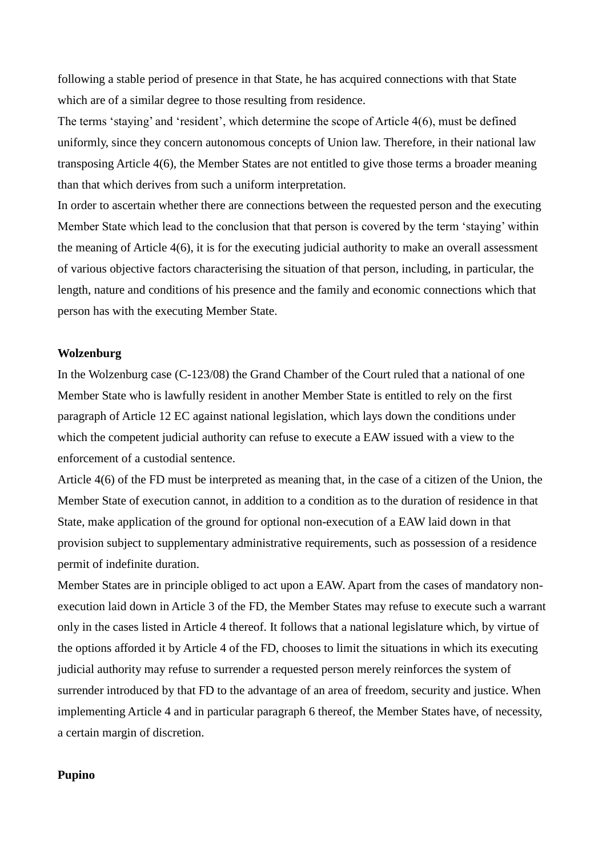following a stable period of presence in that State, he has acquired connections with that State which are of a similar degree to those resulting from residence.

The terms 'staying' and 'resident', which determine the scope of Article 4(6), must be defined uniformly, since they concern autonomous concepts of Union law. Therefore, in their national law transposing Article 4(6), the Member States are not entitled to give those terms a broader meaning than that which derives from such a uniform interpretation.

In order to ascertain whether there are connections between the requested person and the executing Member State which lead to the conclusion that that person is covered by the term 'staying' within the meaning of Article 4(6), it is for the executing judicial authority to make an overall assessment of various objective factors characterising the situation of that person, including, in particular, the length, nature and conditions of his presence and the family and economic connections which that person has with the executing Member State.

#### **Wolzenburg**

In the Wolzenburg case (C-123/08) the Grand Chamber of the Court ruled that a national of one Member State who is lawfully resident in another Member State is entitled to rely on the first paragraph of Article 12 EC against national legislation, which lays down the conditions under which the competent judicial authority can refuse to execute a EAW issued with a view to the enforcement of a custodial sentence.

Article 4(6) of the FD must be interpreted as meaning that, in the case of a citizen of the Union, the Member State of execution cannot, in addition to a condition as to the duration of residence in that State, make application of the ground for optional non-execution of a EAW laid down in that provision subject to supplementary administrative requirements, such as possession of a residence permit of indefinite duration.

Member States are in principle obliged to act upon a EAW. Apart from the cases of mandatory nonexecution laid down in Article 3 of the FD, the Member States may refuse to execute such a warrant only in the cases listed in Article 4 thereof. It follows that a national legislature which, by virtue of the options afforded it by Article 4 of the FD, chooses to limit the situations in which its executing judicial authority may refuse to surrender a requested person merely reinforces the system of surrender introduced by that FD to the advantage of an area of freedom, security and justice. When implementing Article 4 and in particular paragraph 6 thereof, the Member States have, of necessity, a certain margin of discretion.

#### **Pupino**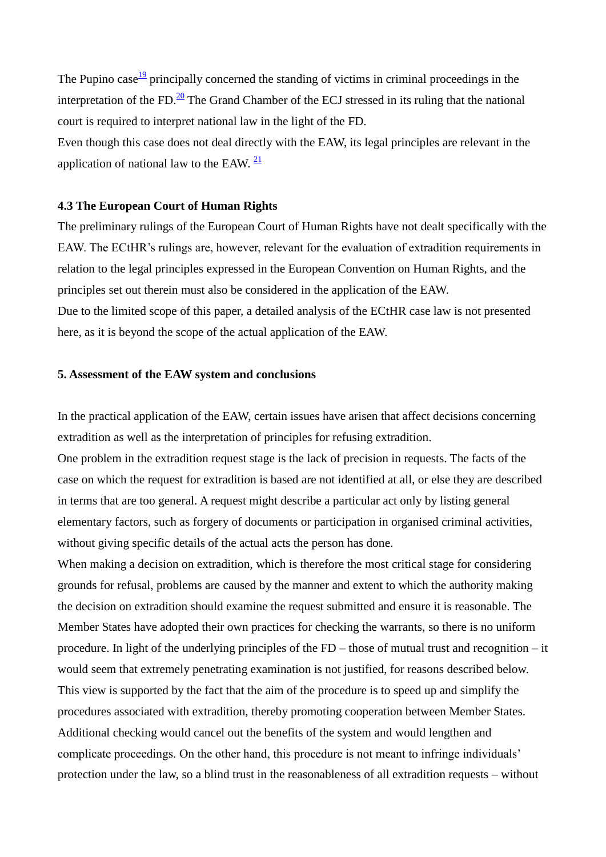The Pupino case  $\frac{19}{2}$  principally concerned the standing of victims in criminal proceedings in the interpretation of the FD. $20$  The Grand Chamber of the ECJ stressed in its ruling that the national court is required to interpret national law in the light of the FD.

Even though this case does not deal directly with the EAW, its legal principles are relevant in the application of national law to the EAW.  $\frac{21}{2}$ 

#### **4.3 The European Court of Human Rights**

The preliminary rulings of the European Court of Human Rights have not dealt specifically with the EAW. The ECtHR's rulings are, however, relevant for the evaluation of extradition requirements in relation to the legal principles expressed in the European Convention on Human Rights, and the principles set out therein must also be considered in the application of the EAW. Due to the limited scope of this paper, a detailed analysis of the ECtHR case law is not presented

# **5. Assessment of the EAW system and conclusions**

here, as it is beyond the scope of the actual application of the EAW.

In the practical application of the EAW, certain issues have arisen that affect decisions concerning extradition as well as the interpretation of principles for refusing extradition.

One problem in the extradition request stage is the lack of precision in requests. The facts of the case on which the request for extradition is based are not identified at all, or else they are described in terms that are too general. A request might describe a particular act only by listing general elementary factors, such as forgery of documents or participation in organised criminal activities, without giving specific details of the actual acts the person has done.

When making a decision on extradition, which is therefore the most critical stage for considering grounds for refusal, problems are caused by the manner and extent to which the authority making the decision on extradition should examine the request submitted and ensure it is reasonable. The Member States have adopted their own practices for checking the warrants, so there is no uniform procedure. In light of the underlying principles of the FD – those of mutual trust and recognition – it would seem that extremely penetrating examination is not justified, for reasons described below. This view is supported by the fact that the aim of the procedure is to speed up and simplify the procedures associated with extradition, thereby promoting cooperation between Member States. Additional checking would cancel out the benefits of the system and would lengthen and complicate proceedings. On the other hand, this procedure is not meant to infringe individuals" protection under the law, so a blind trust in the reasonableness of all extradition requests – without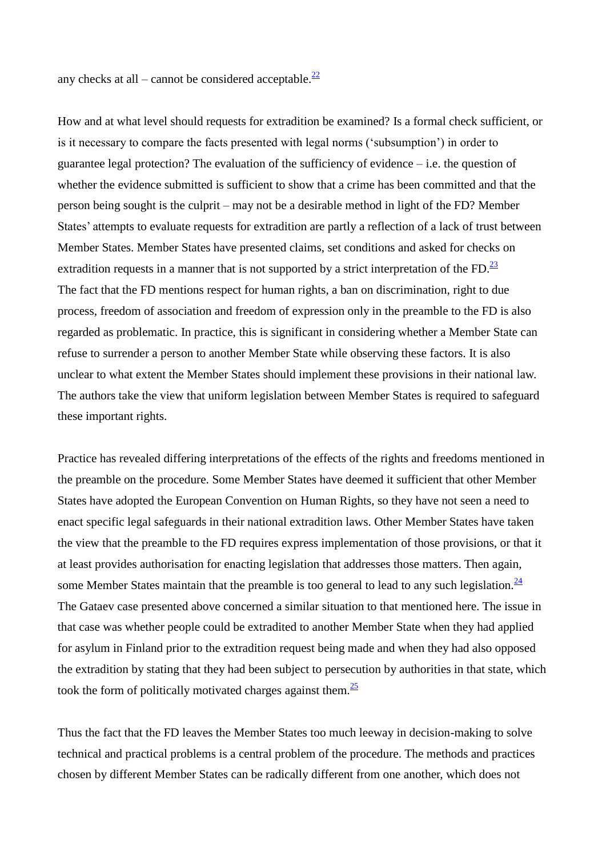any checks at all – cannot be considered acceptable. $\frac{22}{2}$ 

How and at what level should requests for extradition be examined? Is a formal check sufficient, or is it necessary to compare the facts presented with legal norms ("subsumption") in order to guarantee legal protection? The evaluation of the sufficiency of evidence – i.e. the question of whether the evidence submitted is sufficient to show that a crime has been committed and that the person being sought is the culprit – may not be a desirable method in light of the FD? Member States' attempts to evaluate requests for extradition are partly a reflection of a lack of trust between Member States. Member States have presented claims, set conditions and asked for checks on extradition requests in a manner that is not supported by a strict interpretation of the FD. $^{23}$ The fact that the FD mentions respect for human rights, a ban on discrimination, right to due process, freedom of association and freedom of expression only in the preamble to the FD is also regarded as problematic. In practice, this is significant in considering whether a Member State can refuse to surrender a person to another Member State while observing these factors. It is also unclear to what extent the Member States should implement these provisions in their national law. The authors take the view that uniform legislation between Member States is required to safeguard these important rights.

Practice has revealed differing interpretations of the effects of the rights and freedoms mentioned in the preamble on the procedure. Some Member States have deemed it sufficient that other Member States have adopted the European Convention on Human Rights, so they have not seen a need to enact specific legal safeguards in their national extradition laws. Other Member States have taken the view that the preamble to the FD requires express implementation of those provisions, or that it at least provides authorisation for enacting legislation that addresses those matters. Then again, some Member States maintain that the preamble is too general to lead to any such legislation.  $\frac{24}{3}$ The Gataev case presented above concerned a similar situation to that mentioned here. The issue in that case was whether people could be extradited to another Member State when they had applied for asylum in Finland prior to the extradition request being made and when they had also opposed the extradition by stating that they had been subject to persecution by authorities in that state, which took the form of politically motivated charges against them. $\frac{25}{5}$ 

Thus the fact that the FD leaves the Member States too much leeway in decision-making to solve technical and practical problems is a central problem of the procedure. The methods and practices chosen by different Member States can be radically different from one another, which does not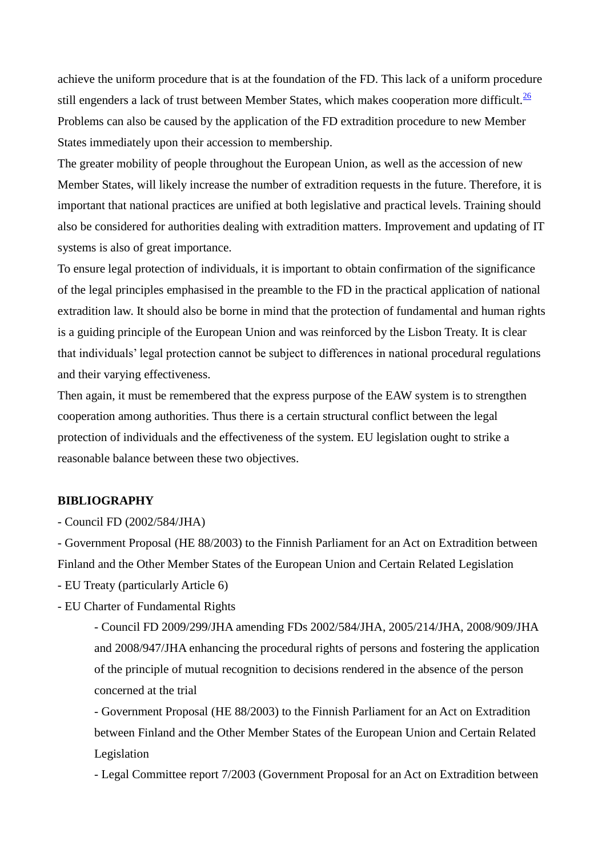achieve the uniform procedure that is at the foundation of the FD. This lack of a uniform procedure still engenders a lack of trust between Member States, which makes cooperation more difficult.  $\frac{26}{2}$ Problems can also be caused by the application of the FD extradition procedure to new Member States immediately upon their accession to membership.

The greater mobility of people throughout the European Union, as well as the accession of new Member States, will likely increase the number of extradition requests in the future. Therefore, it is important that national practices are unified at both legislative and practical levels. Training should also be considered for authorities dealing with extradition matters. Improvement and updating of IT systems is also of great importance.

To ensure legal protection of individuals, it is important to obtain confirmation of the significance of the legal principles emphasised in the preamble to the FD in the practical application of national extradition law. It should also be borne in mind that the protection of fundamental and human rights is a guiding principle of the European Union and was reinforced by the Lisbon Treaty. It is clear that individuals" legal protection cannot be subject to differences in national procedural regulations and their varying effectiveness.

Then again, it must be remembered that the express purpose of the EAW system is to strengthen cooperation among authorities. Thus there is a certain structural conflict between the legal protection of individuals and the effectiveness of the system. EU legislation ought to strike a reasonable balance between these two objectives.

### **BIBLIOGRAPHY**

- Council FD (2002/584/JHA)

- Government Proposal (HE 88/2003) to the Finnish Parliament for an Act on Extradition between Finland and the Other Member States of the European Union and Certain Related Legislation

- EU Treaty (particularly Article 6)

- EU Charter of Fundamental Rights

- Council FD 2009/299/JHA amending FDs 2002/584/JHA, 2005/214/JHA, 2008/909/JHA and 2008/947/JHA enhancing the procedural rights of persons and fostering the application of the principle of mutual recognition to decisions rendered in the absence of the person concerned at the trial

- Government Proposal (HE 88/2003) to the Finnish Parliament for an Act on Extradition between Finland and the Other Member States of the European Union and Certain Related Legislation

- Legal Committee report 7/2003 (Government Proposal for an Act on Extradition between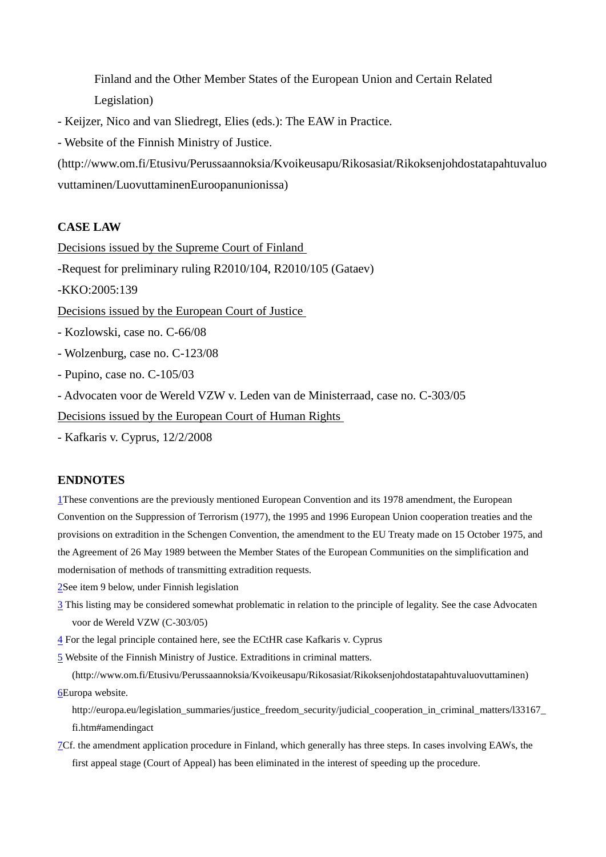Finland and the Other Member States of the European Union and Certain Related Legislation)

- Keijzer, Nico and van Sliedregt, Elies (eds.): The EAW in Practice.

- Website of the Finnish Ministry of Justice.

(http://www.om.fi/Etusivu/Perussaannoksia/Kvoikeusapu/Rikosasiat/Rikoksenjohdostatapahtuvaluo vuttaminen/LuovuttaminenEuroopanunionissa)

#### **CASE LAW**

Decisions issued by the Supreme Court of Finland -Request for preliminary ruling R2010/104, R2010/105 (Gataev) -KKO:2005:139 Decisions issued by the European Court of Justice - Kozlowski, case no. C-66/08 - Wolzenburg, case no. C-123/08 - Pupino, case no. C-105/03 - Advocaten voor de Wereld VZW v. Leden van de Ministerraad, case no. C-303/05 Decisions issued by the European Court of Human Rights

- Kafkaris v. Cyprus, 12/2/2008

#### **ENDNOTES**

1These conventions are the previously mentioned European Convention and its 1978 amendment, the European Convention on the Suppression of Terrorism (1977), the 1995 and 1996 European Union cooperation treaties and the provisions on extradition in the Schengen Convention, the amendment to the EU Treaty made on 15 October 1975, and the Agreement of 26 May 1989 between the Member States of the European Communities on the simplification and modernisation of methods of transmitting extradition requests.

2See item 9 below, under Finnish legislation

- 3 This listing may be considered somewhat problematic in relation to the principle of legality. See the case Advocaten voor de Wereld VZW (C-303/05)
- 4 For the legal principle contained here, see the ECtHR case Kafkaris v. Cyprus

5 Website of the Finnish Ministry of Justice. Extraditions in criminal matters.

(http://www.om.fi/Etusivu/Perussaannoksia/Kvoikeusapu/Rikosasiat/Rikoksenjohdostatapahtuvaluovuttaminen) 6Europa website.

http://europa.eu/legislation\_summaries/justice\_freedom\_security/judicial\_cooperation\_in\_criminal\_matters/l33167 fi.htm#amendingact

7Cf. the amendment application procedure in Finland, which generally has three steps. In cases involving EAWs, the first appeal stage (Court of Appeal) has been eliminated in the interest of speeding up the procedure.